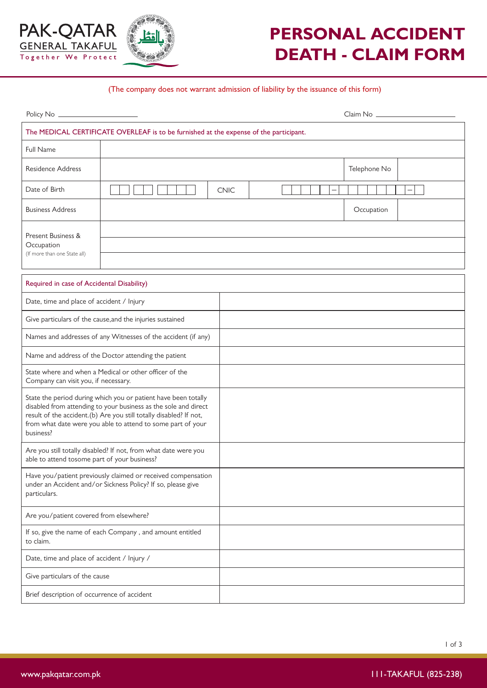

## **PERSONAL ACCIDENT DEATH - CLAIM FORM**

## (The company does not warrant admission of liability by the issuance of this form)

|                                                                  |                                                                                                                                                                                                                                                                        |             | Claim No<br><u>Letter and the set of the set of the set of the set of the set of the set of the set of the set of the set of the set of the set of the set of the set of the set of the set of the set of the set of the set of th</u> |
|------------------------------------------------------------------|------------------------------------------------------------------------------------------------------------------------------------------------------------------------------------------------------------------------------------------------------------------------|-------------|----------------------------------------------------------------------------------------------------------------------------------------------------------------------------------------------------------------------------------------|
|                                                                  | The MEDICAL CERTIFICATE OVERLEAF is to be furnished at the expense of the participant.                                                                                                                                                                                 |             |                                                                                                                                                                                                                                        |
| Full Name                                                        |                                                                                                                                                                                                                                                                        |             |                                                                                                                                                                                                                                        |
| <b>Residence Address</b>                                         |                                                                                                                                                                                                                                                                        |             | Telephone No                                                                                                                                                                                                                           |
| Date of Birth                                                    |                                                                                                                                                                                                                                                                        | <b>CNIC</b> |                                                                                                                                                                                                                                        |
| <b>Business Address</b>                                          |                                                                                                                                                                                                                                                                        |             | Occupation                                                                                                                                                                                                                             |
| Present Business &<br>Occupation<br>(If more than one State all) |                                                                                                                                                                                                                                                                        |             |                                                                                                                                                                                                                                        |
| Required in case of Accidental Disability)                       |                                                                                                                                                                                                                                                                        |             |                                                                                                                                                                                                                                        |
| Date, time and place of accident / Injury                        |                                                                                                                                                                                                                                                                        |             |                                                                                                                                                                                                                                        |
|                                                                  | Give particulars of the cause, and the injuries sustained                                                                                                                                                                                                              |             |                                                                                                                                                                                                                                        |
|                                                                  | Names and addresses of any Witnesses of the accident (if any)                                                                                                                                                                                                          |             |                                                                                                                                                                                                                                        |
|                                                                  | Name and address of the Doctor attending the patient                                                                                                                                                                                                                   |             |                                                                                                                                                                                                                                        |
| Company can visit you, if necessary.                             | State where and when a Medical or other officer of the                                                                                                                                                                                                                 |             |                                                                                                                                                                                                                                        |
| business?                                                        | State the period during which you or patient have been totally<br>disabled from attending to your business as the sole and direct<br>result of the accident.(b) Are you still totally disabled? If not,<br>from what date were you able to attend to some part of your |             |                                                                                                                                                                                                                                        |
| able to attend tosome part of your business?                     | Are you still totally disabled? If not, from what date were you                                                                                                                                                                                                        |             |                                                                                                                                                                                                                                        |
| particulars.                                                     | Have you/patient previously claimed or received compensation<br>under an Accident and/or Sickness Policy? If so, please give                                                                                                                                           |             |                                                                                                                                                                                                                                        |
| Are you/patient covered from elsewhere?                          |                                                                                                                                                                                                                                                                        |             |                                                                                                                                                                                                                                        |
| to claim.                                                        | If so, give the name of each Company, and amount entitled                                                                                                                                                                                                              |             |                                                                                                                                                                                                                                        |
| Date, time and place of accident / Injury /                      |                                                                                                                                                                                                                                                                        |             |                                                                                                                                                                                                                                        |
| Give particulars of the cause                                    |                                                                                                                                                                                                                                                                        |             |                                                                                                                                                                                                                                        |
| Brief description of occurrence of accident                      |                                                                                                                                                                                                                                                                        |             |                                                                                                                                                                                                                                        |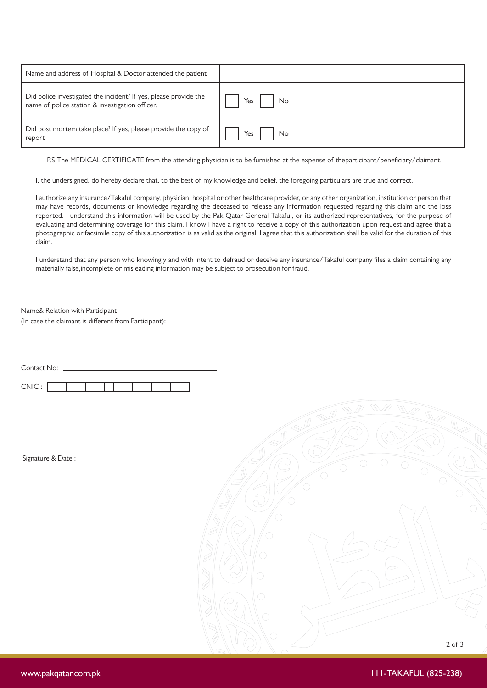| Name and address of Hospital & Doctor attended the patient       |     |
|------------------------------------------------------------------|-----|
| Did police investigated the incident? If yes, please provide the | Yes |
| name of police station & investigation officer.                  | No  |
| Did post mortem take place? If yes, please provide the copy of   | Yes |
| report                                                           | No  |

P.S.The MEDICAL CERTIFICATE from the attending physician is to be furnished at the expense of theparticipant/beneficiary/claimant.

I, the undersigned, do hereby declare that, to the best of my knowledge and belief, the foregoing particulars are true and correct.

I authorize any insurance/Takaful company, physician, hospital or other healthcare provider, or any other organization, institution or person that may have records, documents or knowledge regarding the deceased to release any information requested regarding this claim and the loss reported. I understand this information will be used by the Pak Qatar General Takaful, or its authorized representatives, for the purpose of evaluating and determining coverage for this claim. I know I have a right to receive a copy of this authorization upon request and agree that a photographic or facsimile copy of this authorization is as valid as the original. I agree that this authorization shall be valid for the duration of this claim.

I understand that any person who knowingly and with intent to defraud or deceive any insurance/Takaful company files a claim containing any materially false,incomplete or misleading information may be subject to prosecution for fraud.

Name& Relation with Participant

 $($ In case the claimant is different from Participant $)$ :

| Contact No: _   |                                                                         |
|-----------------|-------------------------------------------------------------------------|
| CNIC:<br>—<br>— |                                                                         |
|                 | W W<br>$\mathbb{Z}$<br>$\mathbb{I}$                                     |
|                 | $\mathbb{I}_{\!\!\mathscr{D}}$                                          |
|                 |                                                                         |
|                 | $\bigcirc$<br>$\left( \quad \right)$<br>( )<br>$\bigcirc$<br>$\bigcirc$ |
|                 |                                                                         |
|                 | $\rightarrow$                                                           |
|                 | (.,                                                                     |
|                 |                                                                         |
|                 |                                                                         |
|                 | $\bigcirc$                                                              |
|                 |                                                                         |